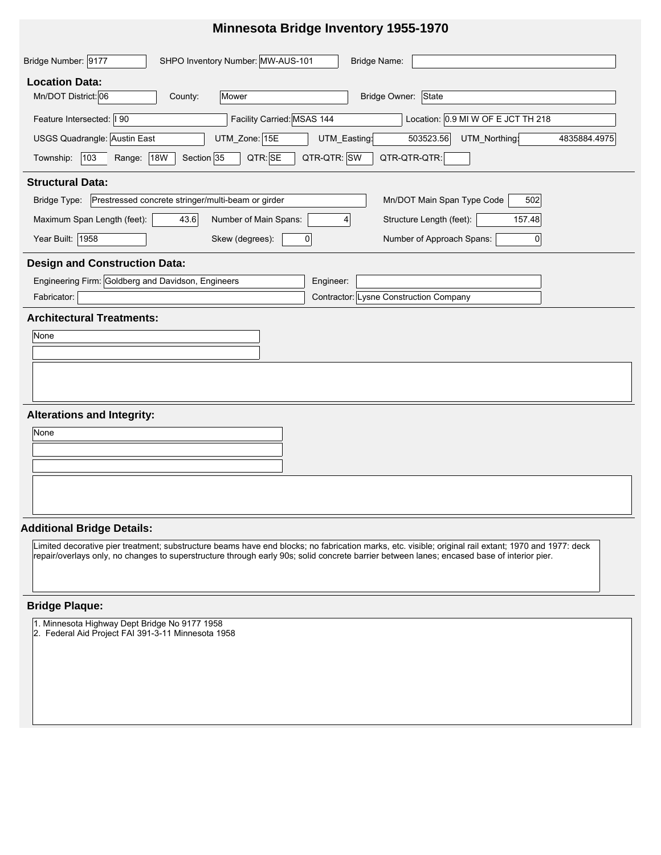### **Minnesota Bridge Inventory 1955-1970**

| SHPO Inventory Number: MW-AUS-101<br>Bridge Number: 9177<br>Bridge Name:                                             |  |  |  |  |  |  |  |  |
|----------------------------------------------------------------------------------------------------------------------|--|--|--|--|--|--|--|--|
| <b>Location Data:</b>                                                                                                |  |  |  |  |  |  |  |  |
| Mn/DOT District: 06<br>Mower<br>Bridge Owner: State<br>County:                                                       |  |  |  |  |  |  |  |  |
| Facility Carried: MSAS 144<br>Location: 0.9 MI W OF E JCT TH 218<br>Feature Intersected:   90                        |  |  |  |  |  |  |  |  |
| USGS Quadrangle: Austin East<br>UTM_Zone: 15E<br>503523.56<br>UTM_Northing:<br>UTM_Easting:<br>4835884.4975          |  |  |  |  |  |  |  |  |
| QTR-QTR: SW<br>QTR: SE<br>QTR-QTR-QTR:<br> 103<br><b>18W</b><br>Section 35<br>Township:<br>Range:                    |  |  |  |  |  |  |  |  |
| <b>Structural Data:</b>                                                                                              |  |  |  |  |  |  |  |  |
| Prestressed concrete stringer/multi-beam or girder<br>Mn/DOT Main Span Type Code<br>Bridge Type:<br>502              |  |  |  |  |  |  |  |  |
| Maximum Span Length (feet):<br>43.6<br>Structure Length (feet):<br>Number of Main Spans:<br>157.48<br>$\overline{4}$ |  |  |  |  |  |  |  |  |
| Year Built: 1958<br>Skew (degrees):<br>Number of Approach Spans:<br>$\mathbf 0$<br>$\overline{0}$                    |  |  |  |  |  |  |  |  |
| <b>Design and Construction Data:</b>                                                                                 |  |  |  |  |  |  |  |  |
| Engineering Firm: Goldberg and Davidson, Engineers<br>Engineer:                                                      |  |  |  |  |  |  |  |  |
| Contractor: Lysne Construction Company<br>Fabricator:                                                                |  |  |  |  |  |  |  |  |
| <b>Architectural Treatments:</b>                                                                                     |  |  |  |  |  |  |  |  |
| None                                                                                                                 |  |  |  |  |  |  |  |  |
|                                                                                                                      |  |  |  |  |  |  |  |  |
|                                                                                                                      |  |  |  |  |  |  |  |  |
|                                                                                                                      |  |  |  |  |  |  |  |  |
| <b>Alterations and Integrity:</b>                                                                                    |  |  |  |  |  |  |  |  |
| None                                                                                                                 |  |  |  |  |  |  |  |  |
|                                                                                                                      |  |  |  |  |  |  |  |  |
|                                                                                                                      |  |  |  |  |  |  |  |  |

### **Additional Bridge Details:**

Limited decorative pier treatment; substructure beams have end blocks; no fabrication marks, etc. visible; original rail extant; 1970 and 1977: deck repair/overlays only, no changes to superstructure through early 90s; solid concrete barrier between lanes; encased base of interior pier.

### **Bridge Plaque:**

1. Minnesota Highway Dept Bridge No 9177 1958

2. Federal Aid Project FAI 391-3-11 Minnesota 1958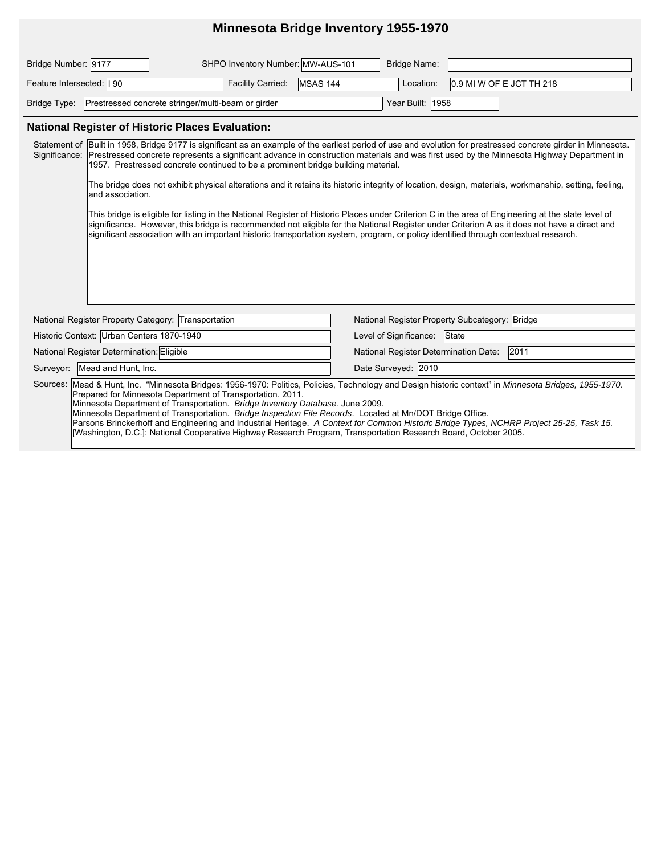# **Minnesota Bridge Inventory 1955-1970**

| Bridge Number: 9177                                                                                                                                                                                                                                                                                                                                                                                                                                                                                                                                                                                                                                                             |                                                                                                                                                                                                                                                                                                                                                                                                                                                                                                                                                                        | SHPO Inventory Number: MW-AUS-101 |          | Bridge Name:                                   |                          |  |  |  |  |
|---------------------------------------------------------------------------------------------------------------------------------------------------------------------------------------------------------------------------------------------------------------------------------------------------------------------------------------------------------------------------------------------------------------------------------------------------------------------------------------------------------------------------------------------------------------------------------------------------------------------------------------------------------------------------------|------------------------------------------------------------------------------------------------------------------------------------------------------------------------------------------------------------------------------------------------------------------------------------------------------------------------------------------------------------------------------------------------------------------------------------------------------------------------------------------------------------------------------------------------------------------------|-----------------------------------|----------|------------------------------------------------|--------------------------|--|--|--|--|
| Feature Intersected: 190                                                                                                                                                                                                                                                                                                                                                                                                                                                                                                                                                                                                                                                        |                                                                                                                                                                                                                                                                                                                                                                                                                                                                                                                                                                        | Facility Carried:                 | MSAS 144 | Location:                                      | 0.9 MI W OF E JCT TH 218 |  |  |  |  |
|                                                                                                                                                                                                                                                                                                                                                                                                                                                                                                                                                                                                                                                                                 | Bridge Type: Prestressed concrete stringer/multi-beam or girder                                                                                                                                                                                                                                                                                                                                                                                                                                                                                                        |                                   |          | Year Built: 1958                               |                          |  |  |  |  |
| <b>National Register of Historic Places Evaluation:</b>                                                                                                                                                                                                                                                                                                                                                                                                                                                                                                                                                                                                                         |                                                                                                                                                                                                                                                                                                                                                                                                                                                                                                                                                                        |                                   |          |                                                |                          |  |  |  |  |
|                                                                                                                                                                                                                                                                                                                                                                                                                                                                                                                                                                                                                                                                                 | Statement of Built in 1958, Bridge 9177 is significant as an example of the earliest period of use and evolution for prestressed concrete girder in Minnesota.<br>Significance: Prestressed concrete represents a significant advance in construction materials and was first used by the Minnesota Highway Department in<br>1957. Prestressed concrete continued to be a prominent bridge building material.<br>The bridge does not exhibit physical alterations and it retains its historic integrity of location, design, materials, workmanship, setting, feeling, |                                   |          |                                                |                          |  |  |  |  |
|                                                                                                                                                                                                                                                                                                                                                                                                                                                                                                                                                                                                                                                                                 | and association.                                                                                                                                                                                                                                                                                                                                                                                                                                                                                                                                                       |                                   |          |                                                |                          |  |  |  |  |
|                                                                                                                                                                                                                                                                                                                                                                                                                                                                                                                                                                                                                                                                                 | This bridge is eligible for listing in the National Register of Historic Places under Criterion C in the area of Engineering at the state level of<br>significance. However, this bridge is recommended not eligible for the National Register under Criterion A as it does not have a direct and<br>significant association with an important historic transportation system, program, or policy identified through contextual research.                                                                                                                              |                                   |          |                                                |                          |  |  |  |  |
| National Register Property Category: Transportation                                                                                                                                                                                                                                                                                                                                                                                                                                                                                                                                                                                                                             |                                                                                                                                                                                                                                                                                                                                                                                                                                                                                                                                                                        |                                   |          | National Register Property Subcategory: Bridge |                          |  |  |  |  |
| Historic Context: Urban Centers 1870-1940                                                                                                                                                                                                                                                                                                                                                                                                                                                                                                                                                                                                                                       |                                                                                                                                                                                                                                                                                                                                                                                                                                                                                                                                                                        |                                   |          | Level of Significance:                         | State                    |  |  |  |  |
| National Register Determination: Eligible                                                                                                                                                                                                                                                                                                                                                                                                                                                                                                                                                                                                                                       |                                                                                                                                                                                                                                                                                                                                                                                                                                                                                                                                                                        |                                   |          | 2011<br>National Register Determination Date:  |                          |  |  |  |  |
| Surveyor: Mead and Hunt, Inc.                                                                                                                                                                                                                                                                                                                                                                                                                                                                                                                                                                                                                                                   |                                                                                                                                                                                                                                                                                                                                                                                                                                                                                                                                                                        |                                   |          | Date Surveyed: 2010                            |                          |  |  |  |  |
| Sources: Mead & Hunt, Inc. "Minnesota Bridges: 1956-1970: Politics, Policies, Technology and Design historic context" in Minnesota Bridges, 1955-1970.<br>Prepared for Minnesota Department of Transportation. 2011.<br>Minnesota Department of Transportation. Bridge Inventory Database. June 2009.<br>Minnesota Department of Transportation. Bridge Inspection File Records. Located at Mn/DOT Bridge Office.<br>Parsons Brinckerhoff and Engineering and Industrial Heritage. A Context for Common Historic Bridge Types, NCHRP Project 25-25, Task 15.<br>[Washington, D.C.]: National Cooperative Highway Research Program, Transportation Research Board, October 2005. |                                                                                                                                                                                                                                                                                                                                                                                                                                                                                                                                                                        |                                   |          |                                                |                          |  |  |  |  |